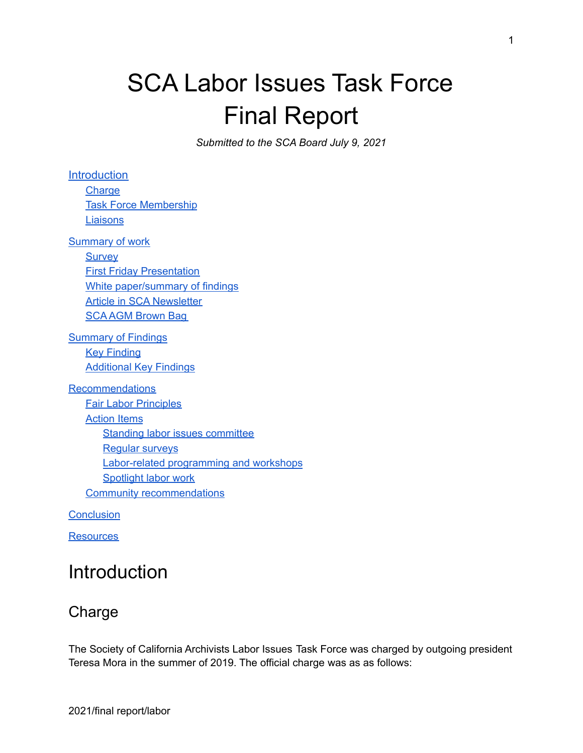# SCA Labor Issues Task Force Final Report

*Submitted to the SCA Board July 9, 2021*

**[Introduction](#page-0-0) [Charge](#page-0-1)** Task Force [Membership](#page-1-0) **[Liaisons](#page-1-1)** [Summary](#page-10-0) of work **[Survey](#page-2-0) First Friday [Presentation](#page-2-1)** White [paper/summary](#page-3-0) of findings Article in SCA [Newsletter](#page-3-1) SCA AGM [Brown](#page-3-2) Bag [Summary](#page-4-0) of Findings **Key Finding** [Additional](#page-4-1) Key Findings [Recommendations](#page-7-0) Fair Labor [Principles](#page-7-1) **[Action](#page-8-0) Items** Standing labor issues [committee](#page-8-1) [Regular](#page-8-2) surveys [Labor-related](#page-9-0) programming and workshops [Spotlight](#page-9-1) labor work Community [recommendations](#page-9-2)

**[Conclusion](#page-10-1)** 

<span id="page-0-0"></span>**[Resources](#page-10-0)** 

# **Introduction**

### <span id="page-0-1"></span>Charge

The Society of California Archivists Labor Issues Task Force was charged by outgoing president Teresa Mora in the summer of 2019. The official charge was as as follows: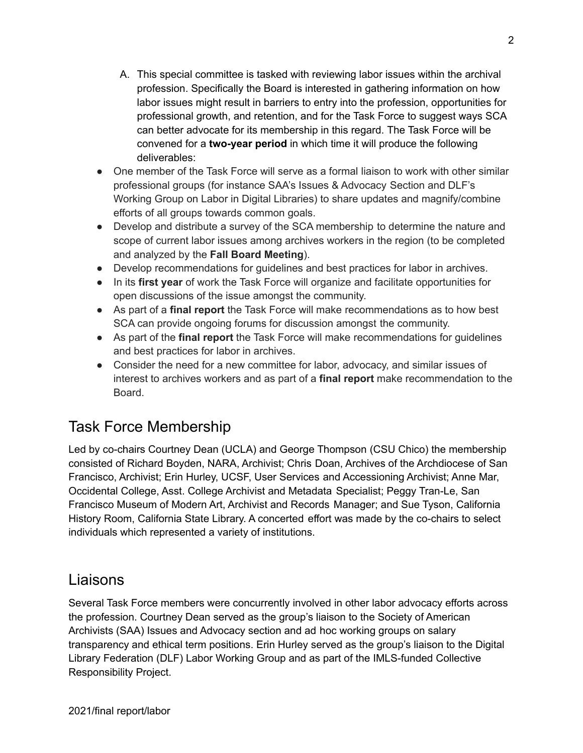- A. This special committee is tasked with reviewing labor issues within the archival profession. Specifically the Board is interested in gathering information on how labor issues might result in barriers to entry into the profession, opportunities for professional growth, and retention, and for the Task Force to suggest ways SCA can better advocate for its membership in this regard. The Task Force will be convened for a **two-year period** in which time it will produce the following deliverables:
- One member of the Task Force will serve as a formal liaison to work with other similar professional groups (for instance SAA's Issues & Advocacy Section and DLF's Working Group on Labor in Digital Libraries) to share updates and magnify/combine efforts of all groups towards common goals.
- Develop and distribute a survey of the SCA membership to determine the nature and scope of current labor issues among archives workers in the region (to be completed and analyzed by the **Fall Board Meeting**).
- Develop recommendations for guidelines and best practices for labor in archives.
- In its **first year** of work the Task Force will organize and facilitate opportunities for open discussions of the issue amongst the community.
- As part of a **final report** the Task Force will make recommendations as to how best SCA can provide ongoing forums for discussion amongst the community.
- As part of the **final report** the Task Force will make recommendations for guidelines and best practices for labor in archives.
- Consider the need for a new committee for labor, advocacy, and similar issues of interest to archives workers and as part of a **final report** make recommendation to the Board.

### <span id="page-1-0"></span>Task Force Membership

Led by co-chairs Courtney Dean (UCLA) and George Thompson (CSU Chico) the membership consisted of Richard Boyden, NARA, Archivist; Chris Doan, Archives of the Archdiocese of San Francisco, Archivist; Erin Hurley, UCSF, User Services and Accessioning Archivist; Anne Mar, Occidental College, Asst. College Archivist and Metadata Specialist; Peggy Tran-Le, San Francisco Museum of Modern Art, Archivist and Records Manager; and Sue Tyson, California History Room, California State Library. A concerted effort was made by the co-chairs to select individuals which represented a variety of institutions.

### <span id="page-1-1"></span>Liaisons

Several Task Force members were concurrently involved in other labor advocacy efforts across the profession. Courtney Dean served as the group's liaison to the Society of American Archivists (SAA) Issues and Advocacy section and ad hoc working groups on salary transparency and ethical term positions. Erin Hurley served as the group's liaison to the Digital Library Federation (DLF) Labor Working Group and as part of the IMLS-funded Collective Responsibility Project.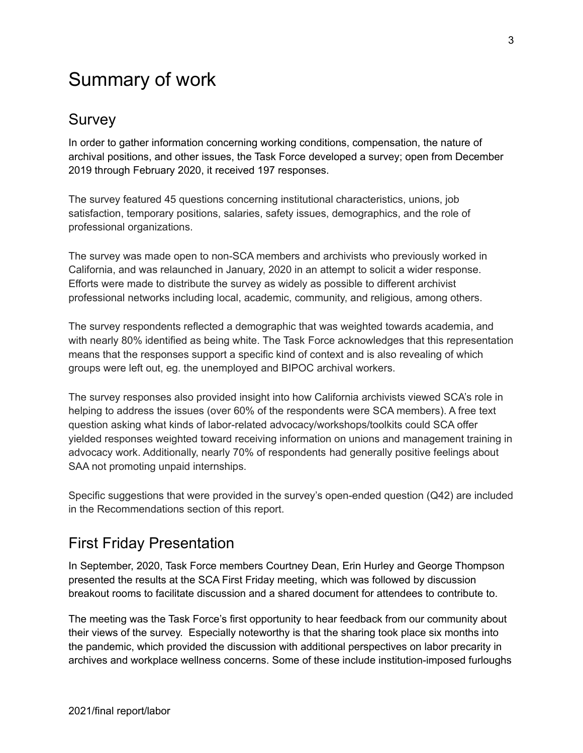# Summary of work

### <span id="page-2-0"></span>Survey

In order to gather information concerning working conditions, compensation, the nature of archival positions, and other issues, the Task Force developed a survey; open from December 2019 through February 2020, it received 197 responses.

The survey featured 45 questions concerning institutional characteristics, unions, job satisfaction, temporary positions, salaries, safety issues, demographics, and the role of professional organizations.

The survey was made open to non-SCA members and archivists who previously worked in California, and was relaunched in January, 2020 in an attempt to solicit a wider response. Efforts were made to distribute the survey as widely as possible to different archivist professional networks including local, academic, community, and religious, among others.

The survey respondents reflected a demographic that was weighted towards academia, and with nearly 80% identified as being white. The Task Force acknowledges that this representation means that the responses support a specific kind of context and is also revealing of which groups were left out, eg. the unemployed and BIPOC archival workers.

The survey responses also provided insight into how California archivists viewed SCA's role in helping to address the issues (over 60% of the respondents were SCA members). A free text question asking what kinds of labor-related advocacy/workshops/toolkits could SCA offer yielded responses weighted toward receiving information on unions and management training in advocacy work. Additionally, nearly 70% of respondents had generally positive feelings about SAA not promoting unpaid internships.

Specific suggestions that were provided in the survey's open-ended question (Q42) are included in the Recommendations section of this report.

### <span id="page-2-1"></span>First Friday Presentation

In September, 2020, Task Force members Courtney Dean, Erin Hurley and George Thompson presented the results at the SCA First Friday meeting, which was followed by discussion breakout rooms to facilitate discussion and a shared document for attendees to contribute to.

The meeting was the Task Force's first opportunity to hear feedback from our community about their views of the survey. Especially noteworthy is that the sharing took place six months into the pandemic, which provided the discussion with additional perspectives on labor precarity in archives and workplace wellness concerns. Some of these include institution-imposed furloughs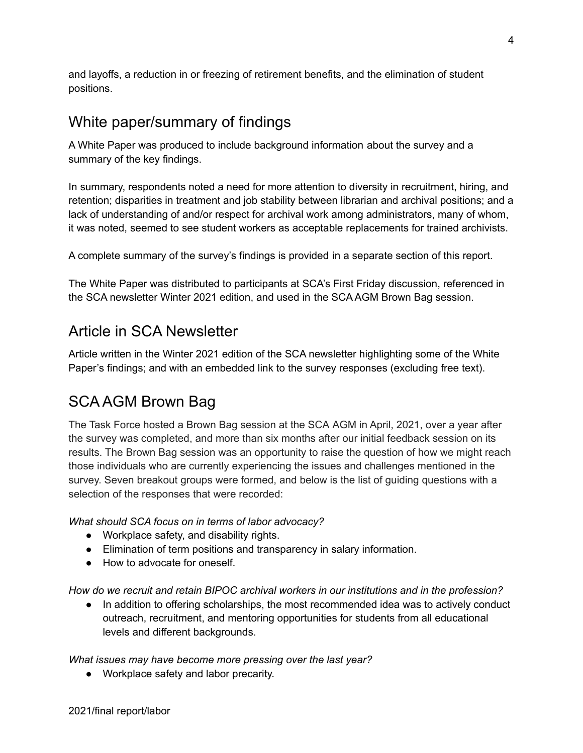and layoffs, a reduction in or freezing of retirement benefits, and the elimination of student positions.

### <span id="page-3-0"></span>White paper/summary of findings

A White Paper was produced to include background information about the survey and a summary of the key findings.

In summary, respondents noted a need for more attention to diversity in recruitment, hiring, and retention; disparities in treatment and job stability between librarian and archival positions; and a lack of understanding of and/or respect for archival work among administrators, many of whom, it was noted, seemed to see student workers as acceptable replacements for trained archivists.

A complete summary of the survey's findings is provided in a separate section of this report.

The White Paper was distributed to participants at SCA's First Friday discussion, referenced in the SCA newsletter Winter 2021 edition, and used in the SCA AGM Brown Bag session.

### <span id="page-3-1"></span>Article in SCA Newsletter

Article written in the Winter 2021 edition of the SCA newsletter highlighting some of the White Paper's findings; and with an embedded link to the survey responses (excluding free text).

### <span id="page-3-2"></span>SCA AGM Brown Bag

The Task Force hosted a Brown Bag session at the SCA AGM in April, 2021, over a year after the survey was completed, and more than six months after our initial feedback session on its results. The Brown Bag session was an opportunity to raise the question of how we might reach those individuals who are currently experiencing the issues and challenges mentioned in the survey. Seven breakout groups were formed, and below is the list of guiding questions with a selection of the responses that were recorded:

*What should SCA focus on in terms of labor advocacy?*

- Workplace safety, and disability rights.
- Elimination of term positions and transparency in salary information.
- How to advocate for oneself.

*How do we recruit and retain BIPOC archival workers in our institutions and in the profession?*

● In addition to offering scholarships, the most recommended idea was to actively conduct outreach, recruitment, and mentoring opportunities for students from all educational levels and different backgrounds.

*What issues may have become more pressing over the last year?*

● Workplace safety and labor precarity.

4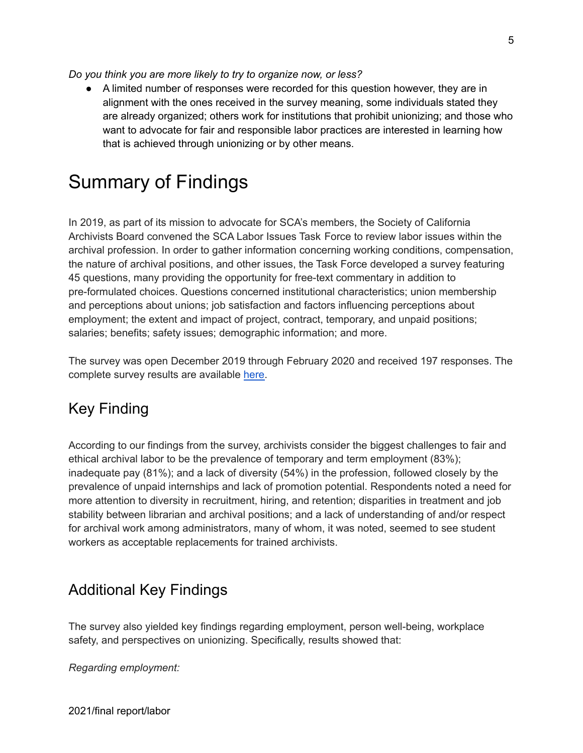*Do you think you are more likely to try to organize now, or less?*

● A limited number of responses were recorded for this question however, they are in alignment with the ones received in the survey meaning, some individuals stated they are already organized; others work for institutions that prohibit unionizing; and those who want to advocate for fair and responsible labor practices are interested in learning how that is achieved through unionizing or by other means.

# <span id="page-4-0"></span>Summary of Findings

In 2019, as part of its mission to advocate for SCA's members, the Society of California Archivists Board convened the SCA Labor Issues Task Force to review labor issues within the archival profession. In order to gather information concerning working conditions, compensation, the nature of archival positions, and other issues, the Task Force developed a survey featuring 45 questions, many providing the opportunity for free-text commentary in addition to pre-formulated choices. Questions concerned institutional characteristics; union membership and perceptions about unions; job satisfaction and factors influencing perceptions about employment; the extent and impact of project, contract, temporary, and unpaid positions; salaries; benefits; safety issues; demographic information; and more.

The survey was open December 2019 through February 2020 and received 197 responses. The complete survey results are available [here.](https://bit.ly/3jKPiLf)

### Key Finding

According to our findings from the survey, archivists consider the biggest challenges to fair and ethical archival labor to be the prevalence of temporary and term employment (83%); inadequate pay (81%); and a lack of diversity (54%) in the profession, followed closely by the prevalence of unpaid internships and lack of promotion potential. Respondents noted a need for more attention to diversity in recruitment, hiring, and retention; disparities in treatment and job stability between librarian and archival positions; and a lack of understanding of and/or respect for archival work among administrators, many of whom, it was noted, seemed to see student workers as acceptable replacements for trained archivists.

### <span id="page-4-1"></span>Additional Key Findings

The survey also yielded key findings regarding employment, person well-being, workplace safety, and perspectives on unionizing. Specifically, results showed that:

*Regarding employment:*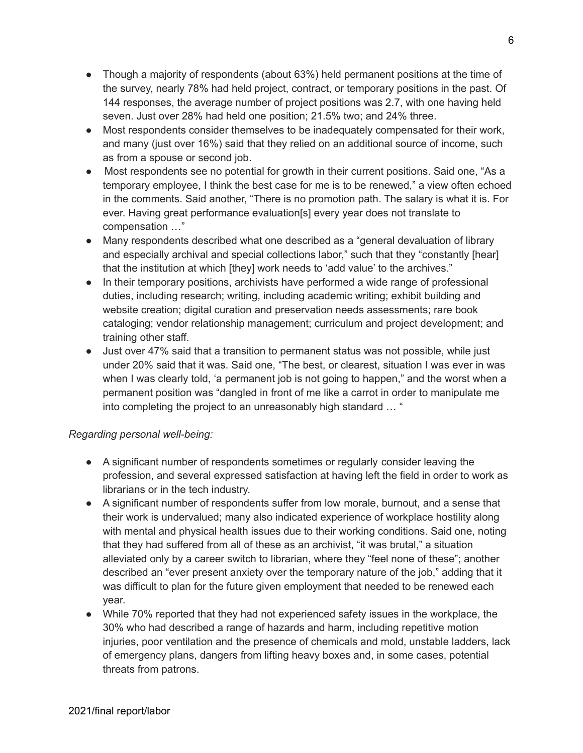- Though a majority of respondents (about 63%) held permanent positions at the time of the survey, nearly 78% had held project, contract, or temporary positions in the past. Of 144 responses, the average number of project positions was 2.7, with one having held seven. Just over 28% had held one position; 21.5% two; and 24% three.
- Most respondents consider themselves to be inadequately compensated for their work, and many (just over 16%) said that they relied on an additional source of income, such as from a spouse or second job.
- Most respondents see no potential for growth in their current positions. Said one, "As a temporary employee, I think the best case for me is to be renewed," a view often echoed in the comments. Said another, "There is no promotion path. The salary is what it is. For ever. Having great performance evaluation[s] every year does not translate to compensation …"
- Many respondents described what one described as a "general devaluation of library and especially archival and special collections labor," such that they "constantly [hear] that the institution at which [they] work needs to 'add value' to the archives."
- In their temporary positions, archivists have performed a wide range of professional duties, including research; writing, including academic writing; exhibit building and website creation; digital curation and preservation needs assessments; rare book cataloging; vendor relationship management; curriculum and project development; and training other staff.
- Just over 47% said that a transition to permanent status was not possible, while just under 20% said that it was. Said one, "The best, or clearest, situation I was ever in was when I was clearly told, 'a permanent job is not going to happen," and the worst when a permanent position was "dangled in front of me like a carrot in order to manipulate me into completing the project to an unreasonably high standard … "

#### *Regarding personal well-being:*

- A significant number of respondents sometimes or regularly consider leaving the profession, and several expressed satisfaction at having left the field in order to work as librarians or in the tech industry.
- A significant number of respondents suffer from low morale, burnout, and a sense that their work is undervalued; many also indicated experience of workplace hostility along with mental and physical health issues due to their working conditions. Said one, noting that they had suffered from all of these as an archivist, "it was brutal," a situation alleviated only by a career switch to librarian, where they "feel none of these"; another described an "ever present anxiety over the temporary nature of the job," adding that it was difficult to plan for the future given employment that needed to be renewed each year.
- While 70% reported that they had not experienced safety issues in the workplace, the 30% who had described a range of hazards and harm, including repetitive motion injuries, poor ventilation and the presence of chemicals and mold, unstable ladders, lack of emergency plans, dangers from lifting heavy boxes and, in some cases, potential threats from patrons.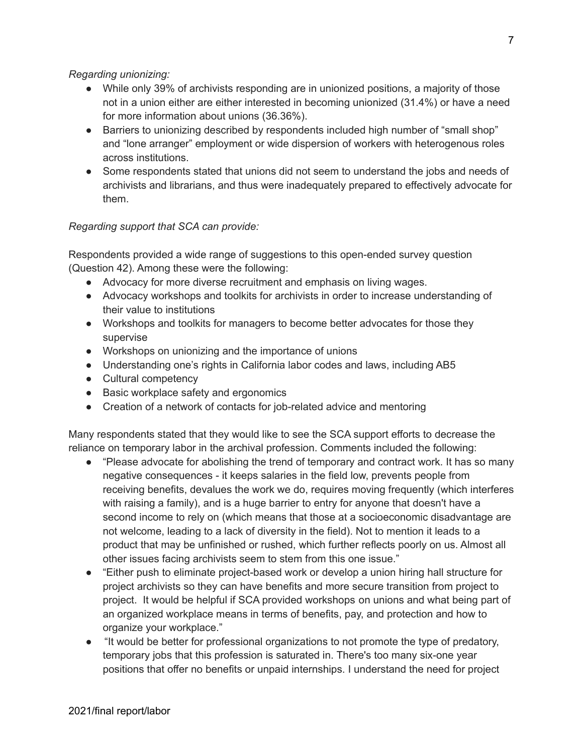#### *Regarding unionizing:*

- While only 39% of archivists responding are in unionized positions, a majority of those not in a union either are either interested in becoming unionized (31.4%) or have a need for more information about unions (36.36%).
- Barriers to unionizing described by respondents included high number of "small shop" and "lone arranger" employment or wide dispersion of workers with heterogenous roles across institutions.
- Some respondents stated that unions did not seem to understand the jobs and needs of archivists and librarians, and thus were inadequately prepared to effectively advocate for them.

#### *Regarding support that SCA can provide:*

Respondents provided a wide range of suggestions to this open-ended survey question (Question 42). Among these were the following:

- Advocacy for more diverse recruitment and emphasis on living wages.
- Advocacy workshops and toolkits for archivists in order to increase understanding of their value to institutions
- Workshops and toolkits for managers to become better advocates for those they supervise
- Workshops on unionizing and the importance of unions
- Understanding one's rights in California labor codes and laws, including AB5
- Cultural competency
- Basic workplace safety and ergonomics
- Creation of a network of contacts for job-related advice and mentoring

Many respondents stated that they would like to see the SCA support efforts to decrease the reliance on temporary labor in the archival profession. Comments included the following:

- "Please advocate for abolishing the trend of temporary and contract work. It has so many negative consequences - it keeps salaries in the field low, prevents people from receiving benefits, devalues the work we do, requires moving frequently (which interferes with raising a family), and is a huge barrier to entry for anyone that doesn't have a second income to rely on (which means that those at a socioeconomic disadvantage are not welcome, leading to a lack of diversity in the field). Not to mention it leads to a product that may be unfinished or rushed, which further reflects poorly on us. Almost all other issues facing archivists seem to stem from this one issue."
- "Either push to eliminate project-based work or develop a union hiring hall structure for project archivists so they can have benefits and more secure transition from project to project. It would be helpful if SCA provided workshops on unions and what being part of an organized workplace means in terms of benefits, pay, and protection and how to organize your workplace."
- "It would be better for professional organizations to not promote the type of predatory, temporary jobs that this profession is saturated in. There's too many six-one year positions that offer no benefits or unpaid internships. I understand the need for project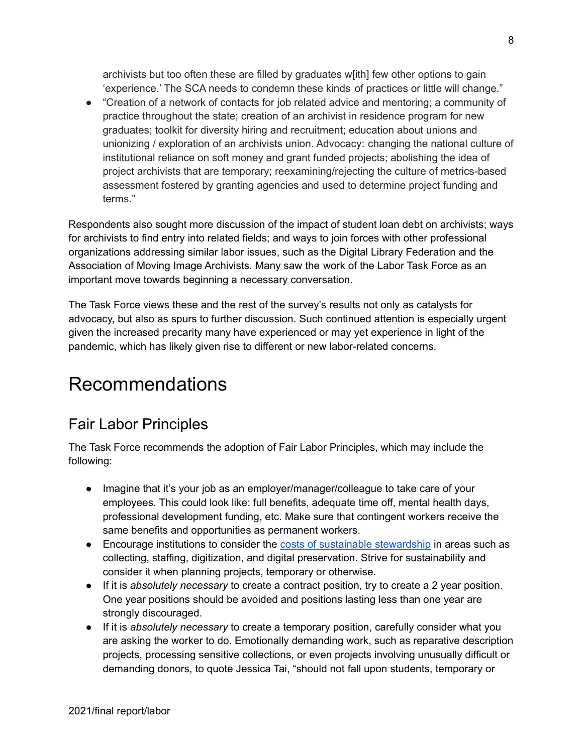archivists but too often these are filled by graduates w[ith] few other options to gain 'experience.' The SCA needs to condemn these kinds of practices or little will change."

● "Creation of a network of contacts for job related advice and mentoring; a community of practice throughout the state; creation of an archivist in residence program for new graduates; toolkit for diversity hiring and recruitment; education about unions and unionizing / exploration of an archivists union. Advocacy: changing the national culture of institutional reliance on soft money and grant funded projects; abolishing the idea of project archivists that are temporary; reexamining/rejecting the culture of metrics-based assessment fostered by granting agencies and used to determine project funding and terms."

Respondents also sought more discussion of the impact of student loan debt on archivists; ways for archivists to find entry into related fields; and ways to join forces with other professional organizations addressing similar labor issues, such as the Digital Library Federation and the Association of Moving Image Archivists. Many saw the work of the Labor Task Force as an important move towards beginning a necessary conversation.

The Task Force views these and the rest of the survey's results not only as catalysts for advocacy, but also as spurs to further discussion. Such continued attention is especially urgent given the increased precarity many have experienced or may yet experience in light of the pandemic, which has likely given rise to different or new labor-related concerns.

# <span id="page-7-0"></span>Recommendations

### <span id="page-7-1"></span>Fair Labor Principles

The Task Force recommends the adoption of Fair Labor Principles, which may include the following:

- Imagine that it's your job as an employer/manager/colleague to take care of your employees. This could look like: full benefits, adequate time off, mental health days, professional development funding, etc. Make sure that contingent workers receive the same benefits and opportunities as permanent workers.
- Encourage institutions to consider the costs of sustainable [stewardship](https://www.oclc.org/research/publications/2021/oclcresearch-total-cost-of-stewardship.html) in areas such as collecting, staffing, digitization, and digital preservation. Strive for sustainability and consider it when planning projects, temporary or otherwise.
- If it is *absolutely necessary* to create a contract position, try to create a 2 year position. One year positions should be avoided and positions lasting less than one year are strongly discouraged.
- If it is *absolutely necessary* to create a temporary position, carefully consider what you are asking the worker to do. Emotionally demanding work, such as reparative description projects, processing sensitive collections, or even projects involving unusually difficult or demanding donors, to quote Jessica Tai, "should not fall upon students, temporary or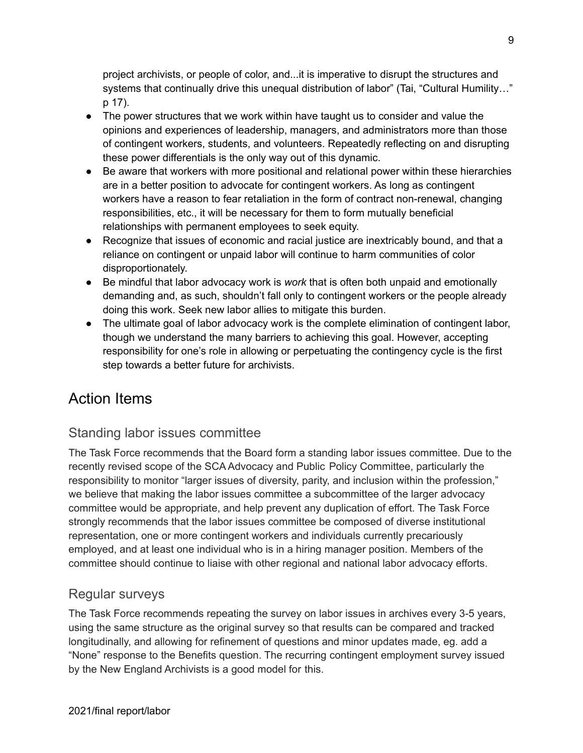project archivists, or people of color, and...it is imperative to disrupt the structures and systems that continually drive this unequal distribution of labor" (Tai, "Cultural Humility…" p 17).

- The power structures that we work within have taught us to consider and value the opinions and experiences of leadership, managers, and administrators more than those of contingent workers, students, and volunteers. Repeatedly reflecting on and disrupting these power differentials is the only way out of this dynamic.
- Be aware that workers with more positional and relational power within these hierarchies are in a better position to advocate for contingent workers. As long as contingent workers have a reason to fear retaliation in the form of contract non-renewal, changing responsibilities, etc., it will be necessary for them to form mutually beneficial relationships with permanent employees to seek equity.
- Recognize that issues of economic and racial justice are inextricably bound, and that a reliance on contingent or unpaid labor will continue to harm communities of color disproportionately.
- Be mindful that labor advocacy work is *work* that is often both unpaid and emotionally demanding and, as such, shouldn't fall only to contingent workers or the people already doing this work. Seek new labor allies to mitigate this burden.
- The ultimate goal of labor advocacy work is the complete elimination of contingent labor, though we understand the many barriers to achieving this goal. However, accepting responsibility for one's role in allowing or perpetuating the contingency cycle is the first step towards a better future for archivists.

### <span id="page-8-0"></span>Action Items

### <span id="page-8-1"></span>Standing labor issues committee

The Task Force recommends that the Board form a standing labor issues committee. Due to the recently revised scope of the SCA Advocacy and Public Policy Committee, particularly the responsibility to monitor "larger issues of diversity, parity, and inclusion within the profession," we believe that making the labor issues committee a subcommittee of the larger advocacy committee would be appropriate, and help prevent any duplication of effort. The Task Force strongly recommends that the labor issues committee be composed of diverse institutional representation, one or more contingent workers and individuals currently precariously employed, and at least one individual who is in a hiring manager position. Members of the committee should continue to liaise with other regional and national labor advocacy efforts.

#### <span id="page-8-2"></span>Regular surveys

The Task Force recommends repeating the survey on labor issues in archives every 3-5 years, using the same structure as the original survey so that results can be compared and tracked longitudinally, and allowing for refinement of questions and minor updates made, eg. add a "None" response to the Benefits question. The recurring contingent employment survey issued by the New England Archivists is a good model for this.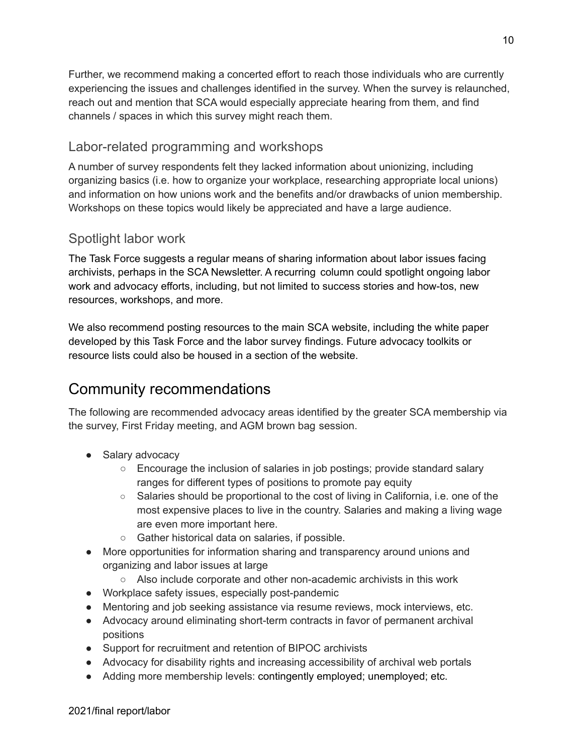Further, we recommend making a concerted effort to reach those individuals who are currently experiencing the issues and challenges identified in the survey. When the survey is relaunched, reach out and mention that SCA would especially appreciate hearing from them, and find channels / spaces in which this survey might reach them.

#### <span id="page-9-0"></span>Labor-related programming and workshops

A number of survey respondents felt they lacked information about unionizing, including organizing basics (i.e. how to organize your workplace, researching appropriate local unions) and information on how unions work and the benefits and/or drawbacks of union membership. Workshops on these topics would likely be appreciated and have a large audience.

### <span id="page-9-1"></span>Spotlight labor work

The Task Force suggests a regular means of sharing information about labor issues facing archivists, perhaps in the SCA Newsletter. A recurring column could spotlight ongoing labor work and advocacy efforts, including, but not limited to success stories and how-tos, new resources, workshops, and more.

We also recommend posting resources to the main SCA website, including the white paper developed by this Task Force and the labor survey findings. Future advocacy toolkits or resource lists could also be housed in a section of the website.

### <span id="page-9-2"></span>Community recommendations

The following are recommended advocacy areas identified by the greater SCA membership via the survey, First Friday meeting, and AGM brown bag session.

- Salary advocacy
	- $\circ$  Encourage the inclusion of salaries in job postings; provide standard salary ranges for different types of positions to promote pay equity
	- Salaries should be proportional to the cost of living in California, i.e. one of the most expensive places to live in the country. Salaries and making a living wage are even more important here.
	- Gather historical data on salaries, if possible.
- More opportunities for information sharing and transparency around unions and organizing and labor issues at large
	- Also include corporate and other non-academic archivists in this work
- Workplace safety issues, especially post-pandemic
- Mentoring and job seeking assistance via resume reviews, mock interviews, etc.
- Advocacy around eliminating short-term contracts in favor of permanent archival positions
- Support for recruitment and retention of BIPOC archivists
- Advocacy for disability rights and increasing accessibility of archival web portals
- Adding more membership levels: contingently employed; unemployed; etc.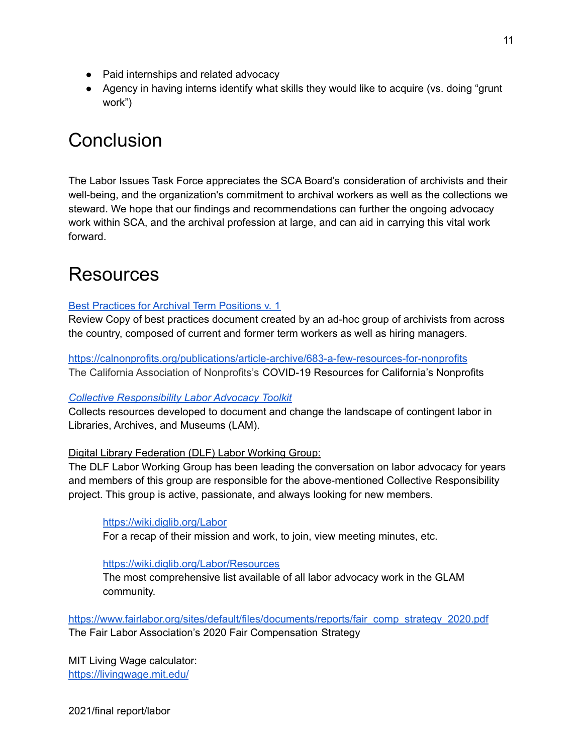- Paid internships and related advocacy
- Agency in having interns identify what skills they would like to acquire (vs. doing "grunt work")

# <span id="page-10-1"></span>**Conclusion**

The Labor Issues Task Force appreciates the SCA Board's consideration of archivists and their well-being, and the organization's commitment to archival workers as well as the collections we steward. We hope that our findings and recommendations can further the ongoing advocacy work within SCA, and the archival profession at large, and can aid in carrying this vital work forward.

# <span id="page-10-0"></span>Resources

#### Best [Practices](https://docs.google.com/document/d/1ig3uRYWsEuDOYoaOoLuW7H7RZT6qCcLsgibkinIjJXQ/edit#heading=h.ho8chw3lqbi) for Archival Term Positions v. 1

Review Copy of best practices document created by an ad-hoc group of archivists from across the country, composed of current and former term workers as well as hiring managers.

<https://calnonprofits.org/publications/article-archive/683-a-few-resources-for-nonprofits> The California Association of Nonprofits's COVID-19 Resources for California's Nonprofits

#### *Collective [Responsibility](https://toolkit.dobetterlabor.com/) Labor Advocacy Toolkit*

Collects resources developed to document and change the landscape of contingent labor in Libraries, Archives, and Museums (LAM).

#### Digital Library Federation (DLF) Labor Working Group:

The DLF Labor Working Group has been leading the conversation on labor advocacy for years and members of this group are responsible for the above-mentioned Collective Responsibility project. This group is active, passionate, and always looking for new members.

#### <https://wiki.diglib.org/Labor>

For a recap of their mission and work, to join, view meeting minutes, etc.

#### <https://wiki.diglib.org/Labor/Resources>

The most comprehensive list available of all labor advocacy work in the GLAM community.

[https://www.fairlabor.org/sites/default/files/documents/reports/fair\\_comp\\_strategy\\_2020.pdf](https://www.fairlabor.org/sites/default/files/documents/reports/fair_comp_strategy_2020.pdf) The Fair Labor Association's 2020 Fair Compensation Strategy

MIT Living Wage calculator: <https://livingwage.mit.edu/>

2021/final report/labor